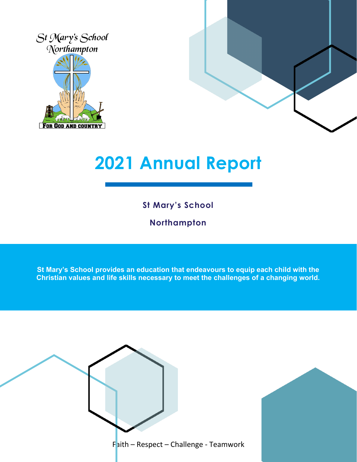



# **2021 Annual Report**

**St Mary's School**

**Northampton**

**St Mary's School provides an education that endeavours to equip each child with the Christian values and life skills necessary to meet the challenges of a changing world.**

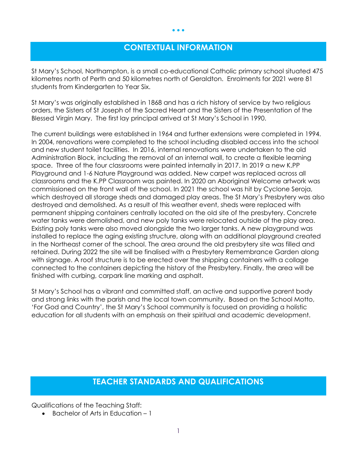### **CONTEXTUAL INFORMATION**

• • •

St Mary's School, Northampton, is a small co-educational Catholic primary school situated 475 kilometres north of Perth and 50 kilometres north of Geraldton. Enrolments for 2021 were 81 students from Kindergarten to Year Six.

St Mary's was originally established in 1868 and has a rich history of service by two religious orders, the Sisters of St Joseph of the Sacred Heart and the Sisters of the Presentation of the Blessed Virgin Mary. The first lay principal arrived at St Mary's School in 1990.

The current buildings were established in 1964 and further extensions were completed in 1994. In 2004, renovations were completed to the school including disabled access into the school and new student toilet facilities. In 2016, internal renovations were undertaken to the old Administration Block, including the removal of an internal wall, to create a flexible learning space. Three of the four classrooms were painted internally in 2017. In 2019 a new K.PP Playground and 1-6 Nature Playground was added. New carpet was replaced across all classrooms and the K.PP Classroom was painted. In 2020 an Aboriginal Welcome artwork was commissioned on the front wall of the school. In 2021 the school was hit by Cyclone Seroja, which destroyed all storage sheds and damaged play areas. The St Mary's Presbytery was also destroyed and demolished. As a result of this weather event, sheds were replaced with permanent shipping containers centrally located on the old site of the presbytery. Concrete water tanks were demolished, and new poly tanks were relocated outside of the play area. Existing poly tanks were also moved alongside the two larger tanks. A new playground was installed to replace the aging existing structure, along with an additional playground created in the Northeast corner of the school. The area around the old presbytery site was filled and retained. During 2022 the site will be finalised with a Presbytery Remembrance Garden along with signage. A roof structure is to be erected over the shipping containers with a collage connected to the containers depicting the history of the Presbytery. Finally, the area will be finished with curbing, carpark line marking and asphalt.

St Mary's School has a vibrant and committed staff, an active and supportive parent body and strong links with the parish and the local town community. Based on the School Motto, 'For God and Country', the St Mary's School community is focused on providing a holistic education for all students with an emphasis on their spiritual and academic development.

#### **TEACHER STANDARDS AND QUALIFICATIONS**

Qualifications of the Teaching Staff:

• Bachelor of Arts in Education – 1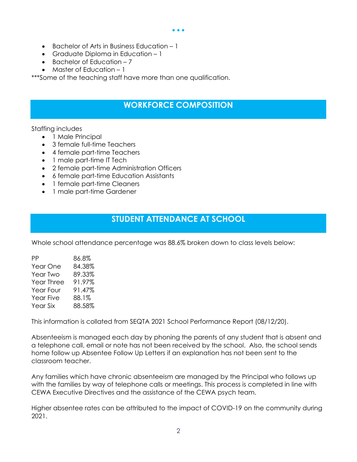- Bachelor of Arts in Business Education 1
- Graduate Diploma in Education 1
- Bachelor of Education 7
- Master of Education 1

\*\*\*Some of the teaching staff have more than one qualification.

#### **WORKFORCE COMPOSITION**

#### Staffing includes

- 1 Male Principal
- 3 female full-time Teachers
- 4 female part-time Teachers
- 1 male part-time IT Tech
- 2 female part-time Administration Officers
- 6 female part-time Education Assistants
- 1 female part-time Cleaners
- 1 male part-time Gardener

#### **STUDENT ATTENDANCE AT SCHOOL**

Whole school attendance percentage was 88.6% broken down to class levels below:

| РP                | 86.8%  |
|-------------------|--------|
| Year One          | 84.38% |
| Year Two          | 89.33% |
| <b>Year Three</b> | 91.97% |
| Year Four         | 91.47% |
| Year Five         | 88.1%  |
| <b>Year Six</b>   | 88.58% |

This information is collated from SEQTA 2021 School Performance Report (08/12/20).

Absenteeism is managed each day by phoning the parents of any student that is absent and a telephone call, email or note has not been received by the school. Also, the school sends home follow up Absentee Follow Up Letters if an explanation has not been sent to the classroom teacher.

Any families which have chronic absenteeism are managed by the Principal who follows up with the families by way of telephone calls or meetings. This process is completed in line with CEWA Executive Directives and the assistance of the CEWA psych team.

Higher absentee rates can be attributed to the impact of COVID-19 on the community during 2021.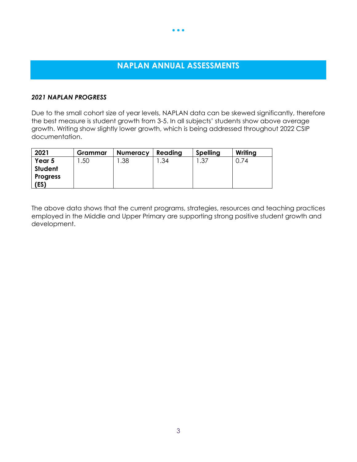## **NAPLAN ANNUAL ASSESSMENTS**

• • •

#### *2021 NAPLAN PROGRESS*

Due to the small cohort size of year levels, NAPLAN data can be skewed significantly, therefore the best measure is student growth from 3-5. In all subjects' students show above average growth. Writing show slightly lower growth, which is being addressed throughout 2022 CSIP documentation.

| 2021            | Grammar | <b>Numeracy</b> | Reading | <b>Spelling</b> | Writing |
|-----------------|---------|-----------------|---------|-----------------|---------|
| Year 5          | .50     | .38             | .34     | .37             | J.74    |
| Student         |         |                 |         |                 |         |
| <b>Progress</b> |         |                 |         |                 |         |
| (ES)            |         |                 |         |                 |         |

The above data shows that the current programs, strategies, resources and teaching practices employed in the Middle and Upper Primary are supporting strong positive student growth and development.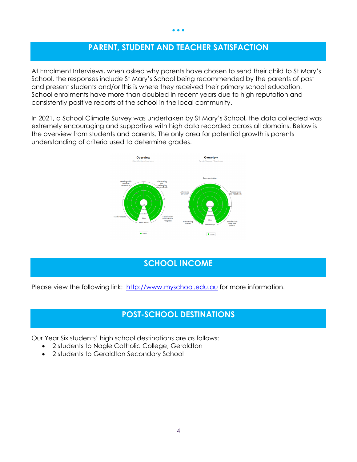## **PARENT, STUDENT AND TEACHER SATISFACTION**

At Enrolment Interviews, when asked why parents have chosen to send their child to St Mary's School, the responses include St Mary's School being recommended by the parents of past and present students and/or this is where they received their primary school education. School enrolments have more than doubled in recent years due to high reputation and consistently positive reports of the school in the local community.

In 2021, a School Climate Survey was undertaken by St Mary's School, the data collected was extremely encouraging and supportive with high data recorded across all domains. Below is the overview from students and parents. The only area for potential growth is parents understanding of criteria used to determine grades.



#### **SCHOOL INCOME**

Please view the following link: [http://www.myschool.edu.au](http://www.myschool.edu.au/) for more information.

#### **POST-SCHOOL DESTINATIONS**

Our Year Six students' high school destinations are as follows:

- 2 students to Nagle Catholic College, Geraldton
- 2 students to Geraldton Secondary School

#### • • •